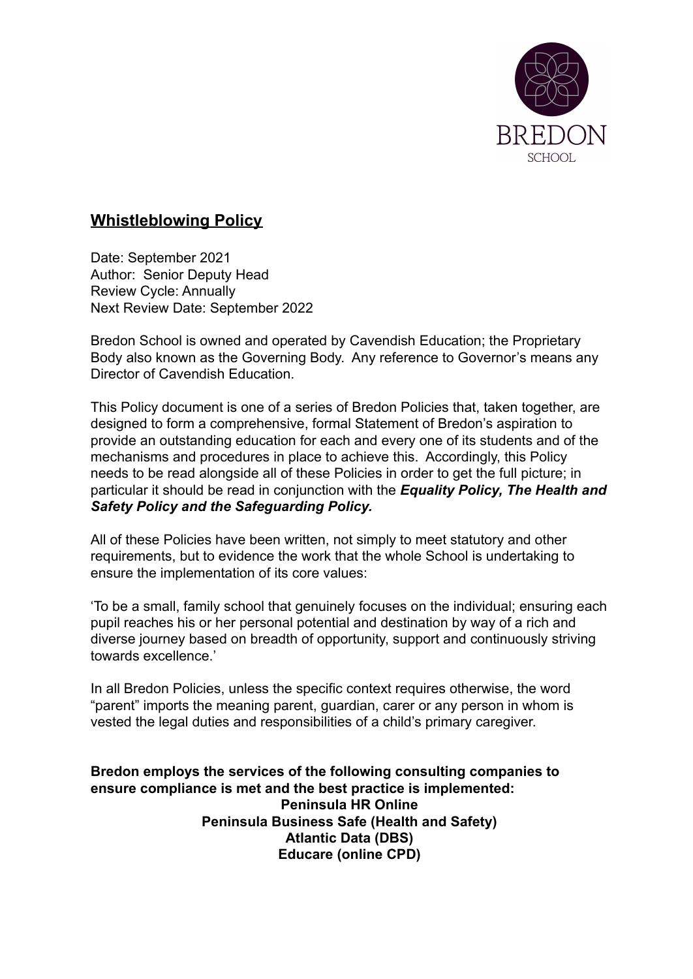

# **Whistleblowing Policy**

Date: September 2021 Author: Senior Deputy Head Review Cycle: Annually Next Review Date: September 2022

Bredon School is owned and operated by Cavendish Education; the Proprietary Body also known as the Governing Body. Any reference to Governor's means any Director of Cavendish Education.

This Policy document is one of a series of Bredon Policies that, taken together, are designed to form a comprehensive, formal Statement of Bredon's aspiration to provide an outstanding education for each and every one of its students and of the mechanisms and procedures in place to achieve this. Accordingly, this Policy needs to be read alongside all of these Policies in order to get the full picture; in particular it should be read in conjunction with the *Equality Policy, The Health and Safety Policy and the Safeguarding Policy.*

All of these Policies have been written, not simply to meet statutory and other requirements, but to evidence the work that the whole School is undertaking to ensure the implementation of its core values:

'To be a small, family school that genuinely focuses on the individual; ensuring each pupil reaches his or her personal potential and destination by way of a rich and diverse journey based on breadth of opportunity, support and continuously striving towards excellence.'

In all Bredon Policies, unless the specific context requires otherwise, the word "parent" imports the meaning parent, guardian, carer or any person in whom is vested the legal duties and responsibilities of a child's primary caregiver.

**Bredon employs the services of the following consulting companies to ensure compliance is met and the best practice is implemented: Peninsula HR Online Peninsula Business Safe (Health and Safety) Atlantic Data (DBS) Educare (online CPD)**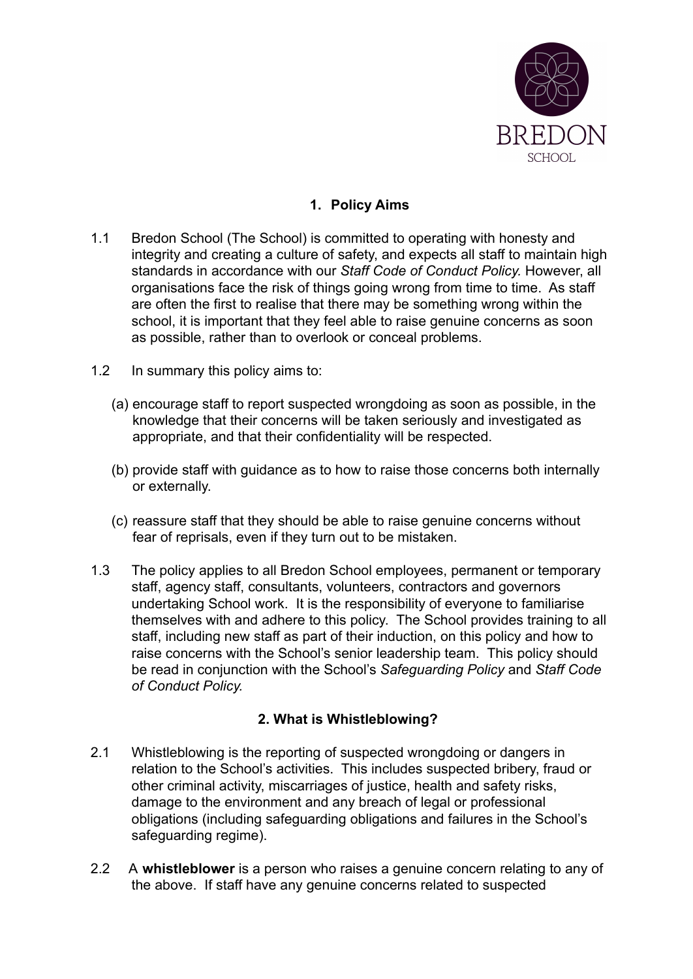

## **1. Policy Aims**

- 1.1 Bredon School (The School) is committed to operating with honesty and integrity and creating a culture of safety, and expects all staff to maintain high standards in accordance with our *Staff Code of Conduct Policy.* However, all organisations face the risk of things going wrong from time to time. As staff are often the first to realise that there may be something wrong within the school, it is important that they feel able to raise genuine concerns as soon as possible, rather than to overlook or conceal problems.
- 1.2 In summary this policy aims to:
	- (a) encourage staff to report suspected wrongdoing as soon as possible, in the knowledge that their concerns will be taken seriously and investigated as appropriate, and that their confidentiality will be respected.
	- (b) provide staff with guidance as to how to raise those concerns both internally or externally.
	- (c) reassure staff that they should be able to raise genuine concerns without fear of reprisals, even if they turn out to be mistaken.
- 1.3 The policy applies to all Bredon School employees, permanent or temporary staff, agency staff, consultants, volunteers, contractors and governors undertaking School work. It is the responsibility of everyone to familiarise themselves with and adhere to this policy. The School provides training to all staff, including new staff as part of their induction, on this policy and how to raise concerns with the School's senior leadership team. This policy should be read in conjunction with the School's *Safeguarding Policy* and *Staff Code of Conduct Policy.*

## **2. What is Whistleblowing?**

- 2.1 Whistleblowing is the reporting of suspected wrongdoing or dangers in relation to the School's activities. This includes suspected bribery, fraud or other criminal activity, miscarriages of justice, health and safety risks, damage to the environment and any breach of legal or professional obligations (including safeguarding obligations and failures in the School's safeguarding regime).
- 2.2 A **whistleblower** is a person who raises a genuine concern relating to any of the above. If staff have any genuine concerns related to suspected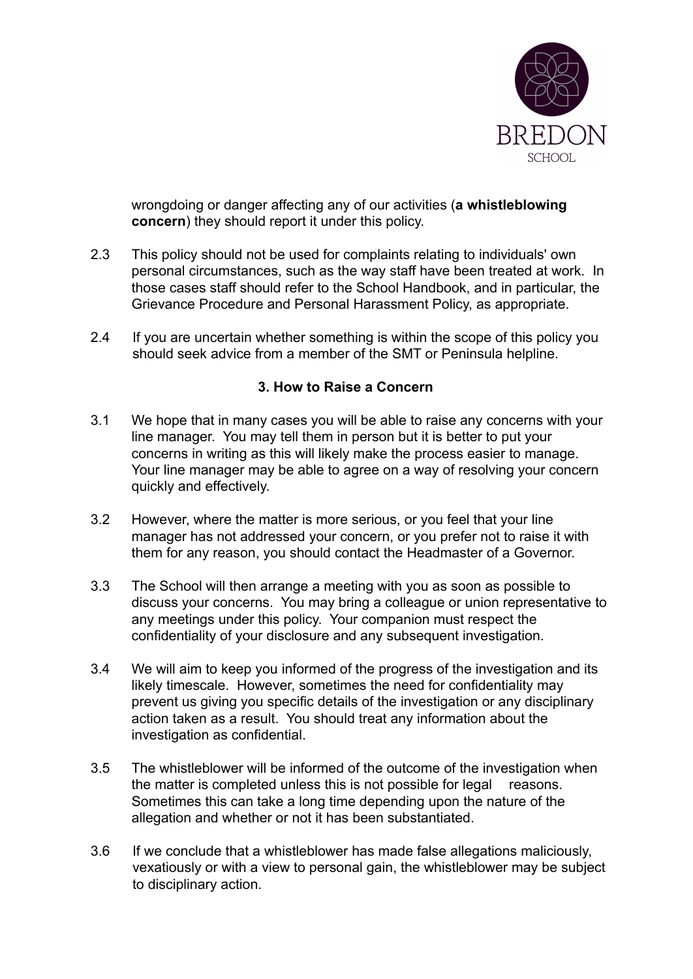

wrongdoing or danger affecting any of our activities (**a whistleblowing concern**) they should report it under this policy.

- 2.3 This policy should not be used for complaints relating to individuals' own personal circumstances, such as the way staff have been treated at work. In those cases staff should refer to the School Handbook, and in particular, the Grievance Procedure and Personal Harassment Policy, as appropriate.
- 2.4 If you are uncertain whether something is within the scope of this policy you should seek advice from a member of the SMT or Peninsula helpline.

#### **3. How to Raise a Concern**

- 3.1 We hope that in many cases you will be able to raise any concerns with your line manager. You may tell them in person but it is better to put your concerns in writing as this will likely make the process easier to manage. Your line manager may be able to agree on a way of resolving your concern quickly and effectively.
- 3.2 However, where the matter is more serious, or you feel that your line manager has not addressed your concern, or you prefer not to raise it with them for any reason, you should contact the Headmaster of a Governor.
- 3.3 The School will then arrange a meeting with you as soon as possible to discuss your concerns. You may bring a colleague or union representative to any meetings under this policy. Your companion must respect the confidentiality of your disclosure and any subsequent investigation.
- 3.4 We will aim to keep you informed of the progress of the investigation and its likely timescale. However, sometimes the need for confidentiality may prevent us giving you specific details of the investigation or any disciplinary action taken as a result. You should treat any information about the investigation as confidential.
- 3.5 The whistleblower will be informed of the outcome of the investigation when the matter is completed unless this is not possible for legal reasons. Sometimes this can take a long time depending upon the nature of the allegation and whether or not it has been substantiated.
- 3.6 If we conclude that a whistleblower has made false allegations maliciously, vexatiously or with a view to personal gain, the whistleblower may be subject to disciplinary action.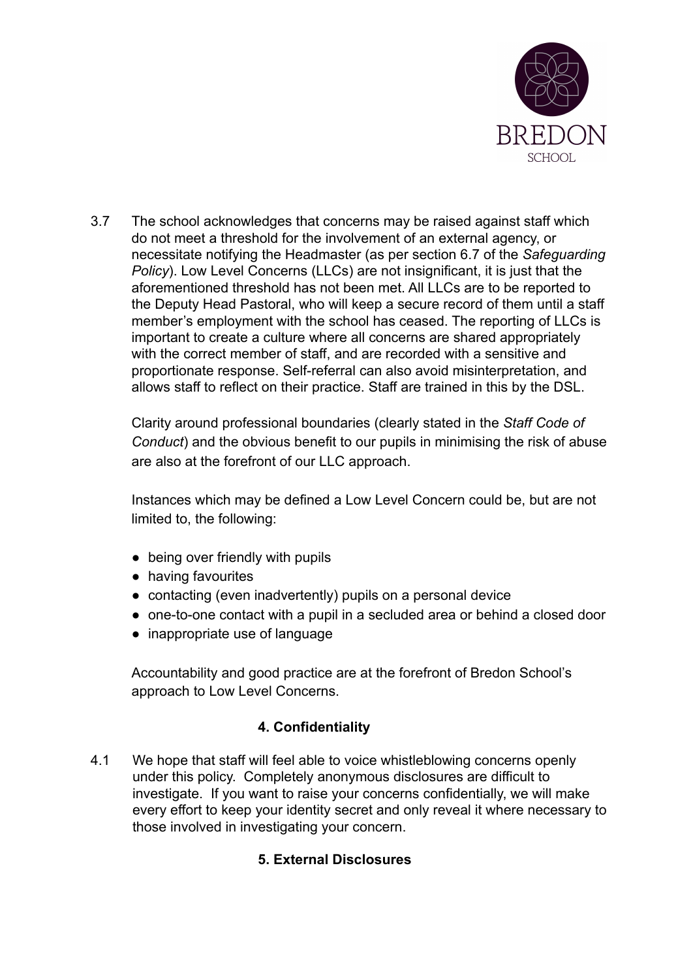

3.7 The school acknowledges that concerns may be raised against staff which do not meet a threshold for the involvement of an external agency, or necessitate notifying the Headmaster (as per section 6.7 of the *Safeguarding Policy*). Low Level Concerns (LLCs) are not insignificant, it is just that the aforementioned threshold has not been met. All LLCs are to be reported to the Deputy Head Pastoral, who will keep a secure record of them until a staff member's employment with the school has ceased. The reporting of LLCs is important to create a culture where all concerns are shared appropriately with the correct member of staff, and are recorded with a sensitive and proportionate response. Self-referral can also avoid misinterpretation, and allows staff to reflect on their practice. Staff are trained in this by the DSL.

Clarity around professional boundaries (clearly stated in the *Staff Code of Conduct*) and the obvious benefit to our pupils in minimising the risk of abuse are also at the forefront of our LLC approach.

Instances which may be defined a Low Level Concern could be, but are not limited to, the following:

- being over friendly with pupils
- having favourites
- contacting (even inadvertently) pupils on a personal device
- one-to-one contact with a pupil in a secluded area or behind a closed door
- inappropriate use of language

Accountability and good practice are at the forefront of Bredon School's approach to Low Level Concerns.

# **4. Confidentiality**

4.1 We hope that staff will feel able to voice whistleblowing concerns openly under this policy. Completely anonymous disclosures are difficult to investigate. If you want to raise your concerns confidentially, we will make every effort to keep your identity secret and only reveal it where necessary to those involved in investigating your concern.

# **5. External Disclosures**